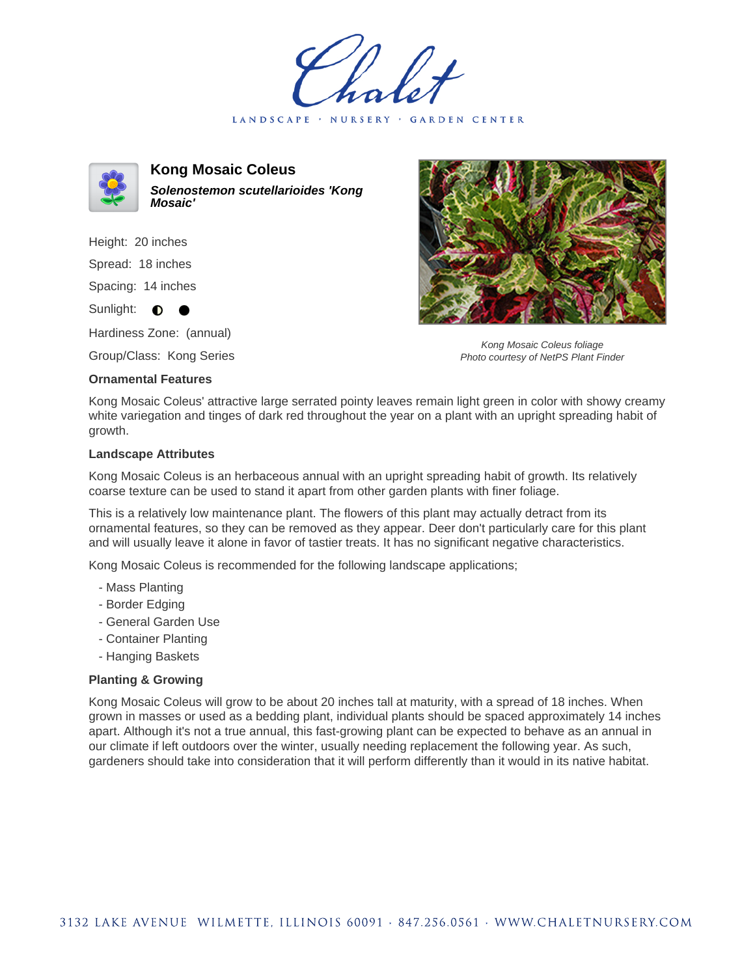LANDSCAPE · NURSERY · GARDEN CENTER



**Kong Mosaic Coleus Solenostemon scutellarioides 'Kong Mosaic'**

Height: 20 inches Spread: 18 inches Spacing: 14 inches Sunlight: **0** 

Hardiness Zone: (annual)

Group/Class: Kong Series

## **Ornamental Features**



Kong Mosaic Coleus foliage Photo courtesy of NetPS Plant Finder

Kong Mosaic Coleus' attractive large serrated pointy leaves remain light green in color with showy creamy white variegation and tinges of dark red throughout the year on a plant with an upright spreading habit of growth.

## **Landscape Attributes**

Kong Mosaic Coleus is an herbaceous annual with an upright spreading habit of growth. Its relatively coarse texture can be used to stand it apart from other garden plants with finer foliage.

This is a relatively low maintenance plant. The flowers of this plant may actually detract from its ornamental features, so they can be removed as they appear. Deer don't particularly care for this plant and will usually leave it alone in favor of tastier treats. It has no significant negative characteristics.

Kong Mosaic Coleus is recommended for the following landscape applications;

- Mass Planting
- Border Edging
- General Garden Use
- Container Planting
- Hanging Baskets

## **Planting & Growing**

Kong Mosaic Coleus will grow to be about 20 inches tall at maturity, with a spread of 18 inches. When grown in masses or used as a bedding plant, individual plants should be spaced approximately 14 inches apart. Although it's not a true annual, this fast-growing plant can be expected to behave as an annual in our climate if left outdoors over the winter, usually needing replacement the following year. As such, gardeners should take into consideration that it will perform differently than it would in its native habitat.